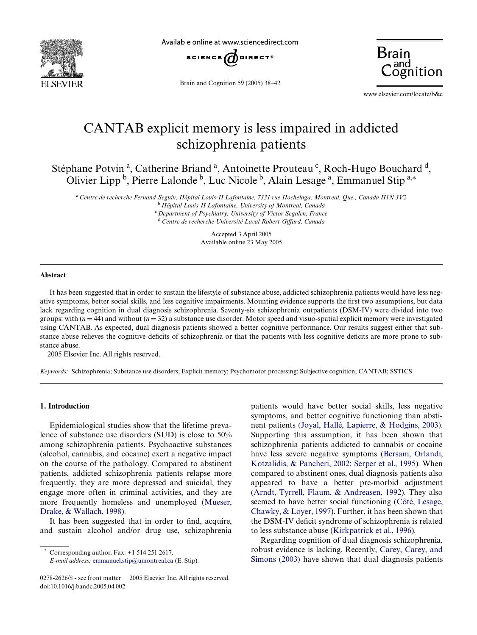

Available online at www.sciencedirect.com



Brain and Cognition 59 (2005) 38–42



www.elsevier.com/locate/b&c

# CANTAB explicit memory is less impaired in addicted schizophrenia patients

Stéphane Potvin<sup>a</sup>, Catherine Briand<sup>a</sup>, Antoinette Prouteau<sup>c</sup>, Roch-Hugo Bouchard<sup>d</sup>, Olivier Lipp<sup>b</sup>, Pierre Lalonde<sup>b</sup>, Luc Nicole<sup>b</sup>, Alain Lesage<sup>a</sup>, Emmanuel Stip<sup>a,\*</sup>

<sup>a</sup>*Centre de recherche Fernand-Seguin, Hôpital Louis-H Lafontaine, 7331 rue Hochelaga, Montreal, Que., Canada H1N 3V2* <sup>b</sup>*Hôpital Louis-H Lafontaine, University of Montreal, Canada*

<sup>c</sup>*Department of Psychiatry, University of Victor Segalen, France* <sup>d</sup> Centre de recherche Université Laval Robert-Giffard, Canada

> Accepted 3 April 2005 Available online 23 May 2005

#### **Abstract**

It has been suggested that in order to sustain the lifestyle of substance abuse, addicted schizophrenia patients would have less negative symptoms, better social skills, and less cognitive impairments. Mounting evidence supports the first two assumptions, but data lack regarding cognition in dual diagnosis schizophrenia. Seventy-six schizophrenia outpatients (DSM-IV) were divided into two groups: with  $(n = 44)$  and without  $(n = 32)$  a substance use disorder. Motor speed and visuo-spatial explicit memory were investigated using CANTAB. As expected, dual diagnosis patients showed a better cognitive performance. Our results suggest either that substance abuse relieves the cognitive deficits of schizophrenia or that the patients with less cognitive deficits are more prone to substance abuse.

2005 Elsevier Inc. All rights reserved.

*Keywords:* Schizophrenia; Substance use disorders; Explicit memory; Psychomotor processing; Subjective cognition; CANTAB; SSTICS

## **1. Introduction**

Epidemiological studies show that the lifetime prevalence of substance use disorders (SUD) is close to 50% among schizophrenia patients. Psychoactive substances (alcohol, cannabis, and cocaine) exert a negative impact on the course of the pathology. Compared to abstinent patients, addicted schizophrenia patients relapse more frequently, they are more depressed and suicidal, they engage more often in criminal activities, and they are more frequently homeless and unemployed [\(Mueser,](#page-4-0) [Drake, & Wallach, 1998\)](#page-4-0).

It has been suggested that in order to find, acquire, and sustain alcohol and/or drug use, schizophrenia

Corresponding author. Fax:  $+1$  514 251 2617.

patients would have better social skills, less negative symptoms, and better cognitive functioning than abstinent patients ([Joyal, Hallé, Lapierre, & Hodgins, 2003](#page-4-1)). Supporting this assumption, it has been shown that schizophrenia patients addicted to cannabis or cocaine have less severe negative symptoms ([Bersani, Orlandi,](#page-3-0) [Kotzalidis, & Pancheri, 2002; Serper et al., 1995\)](#page-3-0). When compared to abstinent ones, dual diagnosis patients also appeared to have a better pre-morbid adjustment ([Arndt, Tyrrell, Flaum, & Andreasen, 1992](#page-3-1)). They also seemed to have better social functioning [\(Côté, Lesage,](#page-3-2) [Chawky, & Loyer, 1997](#page-3-2)). Further, it has been shown that the DSM-IV deficit syndrome of schizophrenia is related to less substance abuse ([Kirkpatrick et al., 1996\)](#page-4-2).

Regarding cognition of dual diagnosis schizophrenia, robust evidence is lacking. Recently, [Carey, Carey, and](#page-3-3) [Simons \(2003\)](#page-3-3) have shown that dual diagnosis patients

*E-mail address:* [emmanuel.stip@umontreal.ca](mailto: emmanuel.stip@umontreal.ca) (E. Stip).

<sup>0278-2626/\$ -</sup> see front matter © 2005 Elsevier Inc. All rights reserved. doi:10.1016/j.bandc.2005.04.002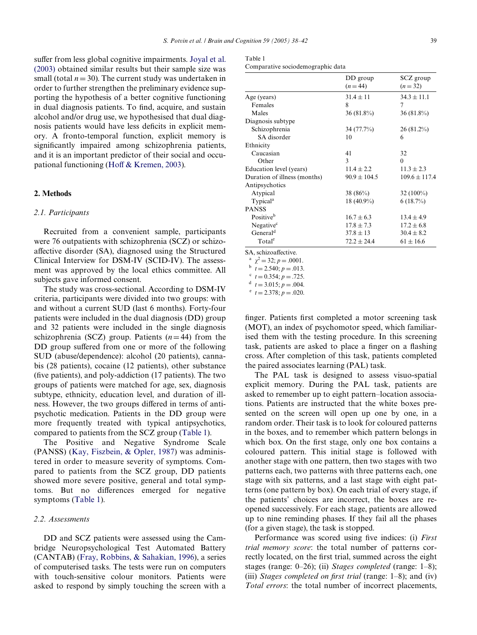suffer from less global cognitive impairments. [Joyal et al.](#page-4-1) [\(2003\)](#page-4-1) obtained similar results but their sample size was small (total  $n = 30$ ). The current study was undertaken in order to further strengthen the preliminary evidence supporting the hypothesis of a better cognitive functioning in dual diagnosis patients. To find, acquire, and sustain alcohol and/or drug use, we hypothesised that dual diagnosis patients would have less deficits in explicit memory. A fronto-temporal function, explicit memory is significantly impaired among schizophrenia patients, and it is an important predictor of their social and occu-pational functioning [\(Ho](#page-4-3)ff  $&$  Kremen, 2003).

## **2. Methods**

## *2.1. Participants*

Recruited from a convenient sample, participants were 76 outpatients with schizophrenia (SCZ) or schizoaffective disorder (SA), diagnosed using the Structured Clinical Interview for DSM-IV (SCID-IV). The assessment was approved by the local ethics committee. All subjects gave informed consent.

The study was cross-sectional. According to DSM-IV criteria, participants were divided into two groups: with and without a current SUD (last 6 months). Forty-four patients were included in the dual diagnosis (DD) group and 32 patients were included in the single diagnosis schizophrenia (SCZ) group. Patients  $(n=44)$  from the DD group suffered from one or more of the following SUD (abuse/dependence): alcohol (20 patients), cannabis (28 patients), cocaine (12 patients), other substance (five patients), and poly-addiction  $(17 \text{ patients})$ . The two groups of patients were matched for age, sex, diagnosis subtype, ethnicity, education level, and duration of illness. However, the two groups differed in terms of antipsychotic medication. Patients in the DD group were more frequently treated with typical antipsychotics, compared to patients from the SCZ group ([Table 1\)](#page-1-0).

The Positive and Negative Syndrome Scale (PANSS) ([Kay, Fiszbein, & Opler, 1987\)](#page-4-4) was administered in order to measure severity of symptoms. Compared to patients from the SCZ group, DD patients showed more severe positive, general and total symptoms. But no differences emerged for negative symptoms ([Table 1\)](#page-1-0).

## *2.2. Assessments*

DD and SCZ patients were assessed using the Cambridge Neuropsychological Test Automated Battery (CANTAB) ([Fray, Robbins, & Sahakian, 1996](#page-4-5)), a series of computerised tasks. The tests were run on computers with touch-sensitive colour monitors. Patients were asked to respond by simply touching the screen with a

<span id="page-1-0"></span>

| Table 1 |  |
|---------|--|
|         |  |

|                                         | DD group         | SCZ group         |  |
|-----------------------------------------|------------------|-------------------|--|
|                                         | $(n = 44)$       | $(n=32)$          |  |
| Age (years)                             | $31.4 \pm 11$    | $34.3 \pm 11.1$   |  |
| Females                                 | 8                | 7                 |  |
| Males                                   | 36 (81.8%)       | 36 (81.8%)        |  |
| Diagnosis subtype                       |                  |                   |  |
| Schizophrenia                           | 34 (77.7%)       | $26(81.2\%)$      |  |
| SA disorder                             | 10               | 6                 |  |
| Ethnicity                               |                  |                   |  |
| Caucasian                               | 41               | 32                |  |
| Other                                   | 3                | $\theta$          |  |
| Education level (years)                 | $11.4 \pm 2.2$   | $11.3 \pm 2.3$    |  |
| Duration of illness (months)            | $90.9 \pm 104.5$ | $109.6 \pm 117.4$ |  |
| Antipsychotics                          |                  |                   |  |
| Atypical                                | 38 $(86%)$       | $32(100\%)$       |  |
| Typical <sup>a</sup>                    | 18 (40.9%)       | $6(18.7\%)$       |  |
| <b>PANSS</b>                            |                  |                   |  |
| Positive <sup>b</sup>                   | $16.7 \pm 6.3$   | $13.4 \pm 4.9$    |  |
| Negative <sup>c</sup>                   | $17.8 \pm 7.3$   | $17.2 \pm 6.8$    |  |
| General <sup>d</sup>                    | $37.8 \pm 13$    | $30.4 \pm 8.2$    |  |
| Total <sup>e</sup>                      | $72.2 \pm 24.4$  | $61 \pm 16.6$     |  |
| $\mathcal{C}$ $\Lambda$ sobizooffootive |                  |                   |  |

SA, schizoaffective.

<sup>a</sup>  $\chi^2 = 32$ ; *p* = .0001.

 $\overline{t} = 2.540; p = .013.$ 

 $t = 0.354; p = .725.$ 

 $t = 3.015$ ;  $p = .004$ .

 $t = 2.378$ ;  $p = .020$ .

finger. Patients first completed a motor screening task (MOT), an index of psychomotor speed, which familiarised them with the testing procedure. In this screening task, patients are asked to place a finger on a flashing cross. After completion of this task, patients completed the paired associates learning (PAL) task.

The PAL task is designed to assess visuo-spatial explicit memory. During the PAL task, patients are asked to remember up to eight pattern–location associations. Patients are instructed that the white boxes presented on the screen will open up one by one, in a random order. Their task is to look for coloured patterns in the boxes, and to remember which pattern belongs in which box. On the first stage, only one box contains a coloured pattern. This initial stage is followed with another stage with one pattern, then two stages with two patterns each, two patterns with three patterns each, one stage with six patterns, and a last stage with eight patterns (one pattern by box). On each trial of every stage, if the patients' choices are incorrect, the boxes are reopened successively. For each stage, patients are allowed up to nine reminding phases. If they fail all the phases (for a given stage), the task is stopped.

Performance was scored using five indices: (i) *First trial memory score*: the total number of patterns correctly located, on the first trial, summed across the eight stages (range: 0–26); (ii) *Stages completed* (range: 1–8); (iii) *Stages completed on first trial* (range:  $1-8$ ); and (iv) *Total errors*: the total number of incorrect placements,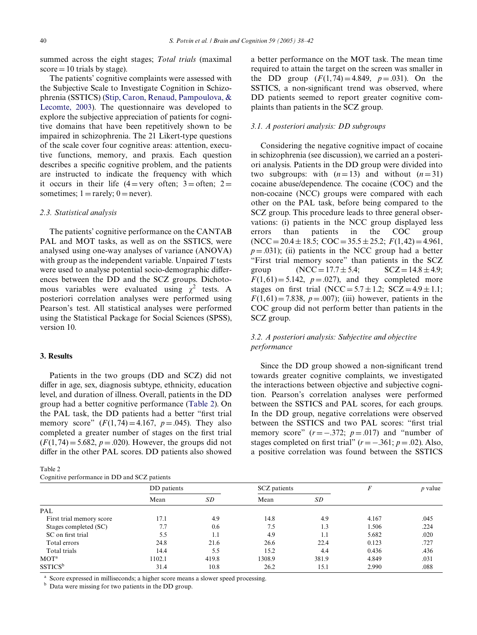summed across the eight stages; *Total trials* (maximal  $score = 10$  trials by stage).

The patients' cognitive complaints were assessed with the Subjective Scale to Investigate Cognition in Schizophrenia (SSTICS) [\(Stip, Caron, Renaud, Pampoulova, &](#page-4-6) [Lecomte, 2003](#page-4-6)). The questionnaire was developed to explore the subjective appreciation of patients for cognitive domains that have been repetitively shown to be impaired in schizophrenia. The 21 Likert-type questions of the scale cover four cognitive areas: attention, executive functions, memory, and praxis. Each question describes a specific cognitive problem, and the patients are instructed to indicate the frequency with which it occurs in their life  $(4=$ very often; 3= often; 2= sometimes;  $1 = \text{rarely}$ ;  $0 = \text{never}$ ).

#### *2.3. Statistical analysis*

The patients' cognitive performance on the CANTAB PAL and MOT tasks, as well as on the SSTICS, were analysed using one-way analyses of variance (ANOVA) with group as the independent variable. Unpaired *T* tests were used to analyse potential socio-demographic differences between the DD and the SCZ groups. Dichotomous variables were evaluated using  $\chi^2$  tests. A posteriori correlation analyses were performed using Pearson's test. All statistical analyses were performed using the Statistical Package for Social Sciences (SPSS), version 10.

# **3. Results**

Patients in the two groups (DD and SCZ) did not differ in age, sex, diagnosis subtype, ethnicity, education level, and duration of illness. Overall, patients in the DD group had a better cognitive performance [\(Table 2\)](#page-2-0). On the PAL task, the DD patients had a better "first trial memory score"  $(F(1, 74) = 4.167, p = .045)$ . They also completed a greater number of stages on the first trial  $(F(1, 74) = 5.682, p = .020)$ . However, the groups did not differ in the other PAL scores. DD patients also showed

<span id="page-2-0"></span>

| د.<br>ורז<br>I<br>۰,<br>×<br>٠ |  |
|--------------------------------|--|
|                                |  |

|  | Cognitive performance in DD and SCZ patients |  |  |  |  |  |
|--|----------------------------------------------|--|--|--|--|--|
|--|----------------------------------------------|--|--|--|--|--|

a better performance on the MOT task. The mean time required to attain the target on the screen was smaller in the DD group  $(F(1, 74) = 4.849, p = .031)$ . On the SSTICS, a non-significant trend was observed, where DD patients seemed to report greater cognitive complaints than patients in the SCZ group.

## *3.1. A posteriori analysis: DD subgroups*

Considering the negative cognitive impact of cocaine in schizophrenia (see discussion), we carried an a posteriori analysis. Patients in the DD group were divided into two subgroups: with  $(n=13)$  and without  $(n=31)$ cocaine abuse/dependence. The cocaine (COC) and the non-cocaine (NCC) groups were compared with each other on the PAL task, before being compared to the SCZ group. This procedure leads to three general observations: (i) patients in the NCC group displayed less errors than patients in the COC group  $(NCC = 20.4 \pm 18.5; COC = 35.5 \pm 25.2; F(1,42) = 4.961,$  $p = .031$ ); (ii) patients in the NCC group had a better "First trial memory score" than patients in the SCZ group  $(NCC = 17.7 \pm 5.4;$   $SCZ = 14.8 \pm 4.9;$  $F(1,61) = 5.142$ ,  $p = .027$ ), and they completed more stages on first trial (NCC =  $5.7 \pm 1.2$ ; SCZ =  $4.9 \pm 1.1$ ;  $F(1,61) = 7.838$ ,  $p = .007$ ); (iii) however, patients in the COC group did not perform better than patients in the SCZ group.

# *3.2. A posteriori analysis: Subjective and objective performance*

Since the DD group showed a non-significant trend towards greater cognitive complaints, we investigated the interactions between objective and subjective cognition. Pearson's correlation analyses were performed between the SSTICS and PAL scores, for each groups. In the DD group, negative correlations were observed between the SSTICS and two PAL scores: "first trial memory score"  $(r = -.372; p = .017)$  and "number of stages completed on first trial"  $(r = -.361; p = .02)$ . Also, a positive correlation was found between the SSTICS

| $\sim$                   |             |       |              |       |       |           |  |  |
|--------------------------|-------------|-------|--------------|-------|-------|-----------|--|--|
|                          | DD patients |       | SCZ patients |       | F     | $p$ value |  |  |
|                          | Mean        | SD    | Mean         | SD    |       |           |  |  |
| PAL                      |             |       |              |       |       |           |  |  |
| First trial memory score | 17.1        | 4.9   | 14.8         | 4.9   | 4.167 | .045      |  |  |
| Stages completed (SC)    | 7.7         | 0.6   | 7.5          | 1.3   | 1.506 | .224      |  |  |
| SC on first trial        | 5.5         | 1.1   | 4.9          | 1.1   | 5.682 | .020      |  |  |
| Total errors             | 24.8        | 21.6  | 26.6         | 22.4  | 0.123 | .727      |  |  |
| Total trials             | 14.4        | 5.5   | 15.2         | 4.4   | 0.436 | .436      |  |  |
| MOT <sup>a</sup>         | 1102.1      | 419.8 | 1308.9       | 381.9 | 4.849 | .031      |  |  |
| $SSTICS^b$               | 31.4        | 10.8  | 26.2         | 15.1  | 2.990 | .088      |  |  |

<sup>a</sup> Score expressed in milliseconds; a higher score means a slower speed processing.

<sup>b</sup> Data were missing for two patients in the DD group.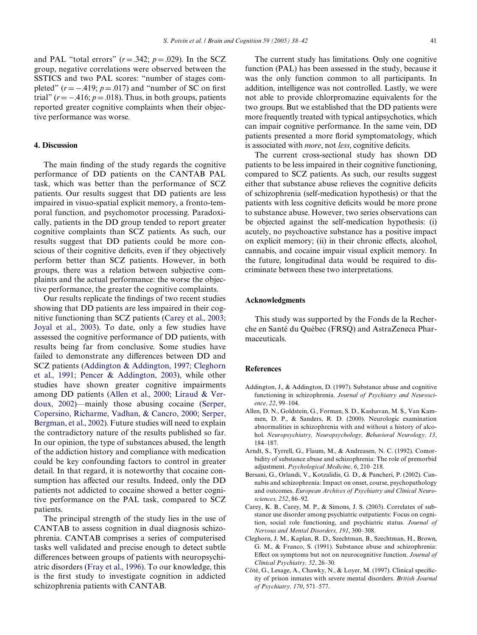and PAL "total errors"  $(r = .342; p = .029)$ . In the SCZ group, negative correlations were observed between the SSTICS and two PAL scores: "number of stages completed"  $(r = -.419; p = .017)$  and "number of SC on first trial" ( $r = -.416$ ;  $p = .018$ ). Thus, in both groups, patients reported greater cognitive complaints when their objective performance was worse.

## **4. Discussion**

The main finding of the study regards the cognitive performance of DD patients on the CANTAB PAL task, which was better than the performance of SCZ patients. Our results suggest that DD patients are less impaired in visuo-spatial explicit memory, a fronto-temporal function, and psychomotor processing. Paradoxically, patients in the DD group tended to report greater cognitive complaints than SCZ patients. As such, our results suggest that DD patients could be more conscious of their cognitive deficits, even if they objectively perform better than SCZ patients. However, in both groups, there was a relation between subjective complaints and the actual performance: the worse the objective performance, the greater the cognitive complaints.

Our results replicate the findings of two recent studies showing that DD patients are less impaired in their cognitive functioning than SCZ patients [\(Carey et al., 2003;](#page-3-3) [Joyal et al., 2003](#page-3-3)). To date, only a few studies have assessed the cognitive performance of DD patients, with results being far from conclusive. Some studies have failed to demonstrate any differences between DD and SCZ patients ([Addington & Addington, 1997; Cleghorn](#page-3-4) [et al., 1991; Pencer & Addington, 2003\)](#page-3-4), while other studies have shown greater cognitive impairments among DD patients [\(Allen et al., 2000; Liraud & Ver](#page-3-5)[doux, 2002\)](#page-3-5)—mainly those abusing cocaine [\(Serper,](#page-4-7) [Copersino, Richarme, Vadhan, & Cancro, 2000; Serper,](#page-4-7) [Bergman, et al., 2002\)](#page-4-7). Future studies will need to explain the contradictory nature of the results published so far. In our opinion, the type of substances abused, the length of the addiction history and compliance with medication could be key confounding factors to control in greater detail. In that regard, it is noteworthy that cocaine consumption has affected our results. Indeed, only the DD patients not addicted to cocaine showed a better cognitive performance on the PAL task, compared to SCZ patients.

The principal strength of the study lies in the use of CANTAB to assess cognition in dual diagnosis schizophrenia. CANTAB comprises a series of computerised tasks well validated and precise enough to detect subtle differences between groups of patients with neuropsychiatric disorders ([Fray et al., 1996](#page-4-5)). To our knowledge, this is the first study to investigate cognition in addicted schizophrenia patients with CANTAB.

The current study has limitations. Only one cognitive function (PAL) has been assessed in the study, because it was the only function common to all participants. In addition, intelligence was not controlled. Lastly, we were not able to provide chlorpromazine equivalents for the two groups. But we established that the DD patients were more frequently treated with typical antipsychotics, which can impair cognitive performance. In the same vein, DD patients presented a more florid symptomatology, which is associated with *more*, not *less*, cognitive deficits.

The current cross-sectional study has shown DD patients to be less impaired in their cognitive functioning, compared to SCZ patients. As such, our results suggest either that substance abuse relieves the cognitive deficits of schizophrenia (self-medication hypothesis) or that the patients with less cognitive deficits would be more prone to substance abuse. However, two series observations can be objected against the self-medication hypothesis: (i) acutely, no psychoactive substance has a positive impact on explicit memory; (ii) in their chronic effects, alcohol, cannabis, and cocaine impair visual explicit memory. In the future, longitudinal data would be required to discriminate between these two interpretations.

## **Acknowledgments**

This study was supported by the Fonds de la Recherche en Santé du Québec (FRSQ) and AstraZeneca Pharmaceuticals.

## **References**

- <span id="page-3-4"></span>Addington, J., & Addington, D. (1997). Substance abuse and cognitive functioning in schizophrenia. *Journal of Psychiatry and Neuroscience, 22*, 99–104.
- <span id="page-3-5"></span>Allen, D. N., Goldstein, G., Forman, S. D., Kashavan, M. S., Van Kammen, D. P., & Sanders, R. D. (2000). Neurologic examination abnormalities in schizophrenia with and without a history of alcohol. *Neuropsychiatry, Neuropsychology, Behavioral Neurology, 13*, 184–187.
- <span id="page-3-1"></span>Arndt, S., Tyrrell, G., Flaum, M., & Andreasen, N. C. (1992). Comorbidity of substance abuse and schizophrenia: The role of premorbid adjustment. *Psychological Medicine, 6*, 210–218.
- <span id="page-3-0"></span>Bersani, G., Orlandi, V., Kotzalidis, G. D., & Pancheri, P. (2002). Cannabis and schizophrenia: Impact on onset, course, psychopathology and outcomes. *European Archives of Psychiatry and Clinical Neurosciences, 252*, 86–92.
- <span id="page-3-3"></span>Carey, K. B., Carey, M. P., & Simons, J. S. (2003). Correlates of substance use disorder among psychiatric outpatients: Focus on cognition, social role functioning, and psychiatric status. *Journal of Nervous and Mental Disorders, 191*, 300–308.
- Cleghorn, J. M., Kaplan, R. D., Szechtman, B., Szechtman, H., Brown, G. M., & Franco, S. (1991). Substance abuse and schizophrenia: Effect on symptoms but not on neurocognitive function. Journal of *Clinical Psychiatry, 52*, 26–30.
- <span id="page-3-2"></span>Côté, G., Lesage, A., Chawky, N., & Loyer, M. (1997). Clinical specificity of prison inmates with severe mental disorders. *British Journal of Psychiatry, 170*, 571–577.